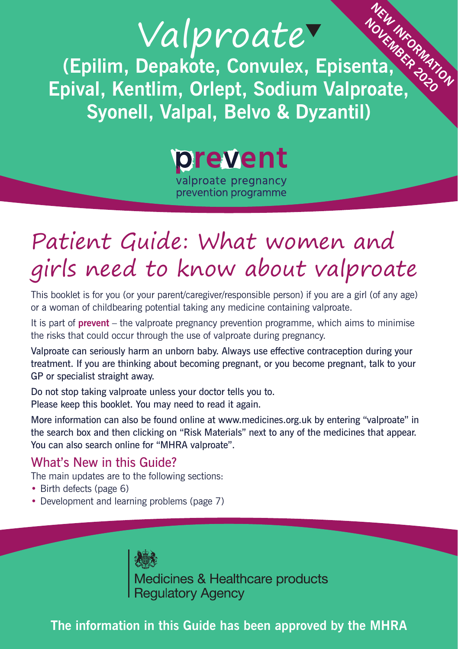# Valproate

**(Epilim, Depakote, Convulex, Episenta, Epival, Kentlim, Orlept, Sodium Valproate, Syonell, Valpal, Belvo & Dyzantil)**  *NEW INFORMATION*<br> **ndia**<br> **nate** 

prevent

valproate pregnancy prevention programme

### Patient Guide: What women and girls need to know about valproate

This booklet is for you (or your parent/caregiver/responsible person) if you are a girl (of any age) or a woman of childbearing potential taking any medicine containing valproate.

It is part of **prevent** – the valproate pregnancy prevention programme, which aims to minimise the risks that could occur through the use of valproate during pregnancy.

Valproate can seriously harm an unborn baby. Always use effective contraception during your treatment. If you are thinking about becoming pregnant, or you become pregnant, talk to your GP or specialist straight away.

Do not stop taking valproate unless your doctor tells you to. Please keep this booklet. You may need to read it again.

More information can also be found online at www.medicines.org.uk by entering "valproate" in the search box and then clicking on "Risk Materials" next to any of the medicines that appear. You can also search online for "MHRA valproate".

#### What's New in this Guide?

The main updates are to the following sections:

- Birth defects (page 6)
- Development and learning problems (page 7)

**Rest**<br>Medicines & Healthcare products<br>Regulatory Agency

**The information in this Guide has been approved by the MHRA**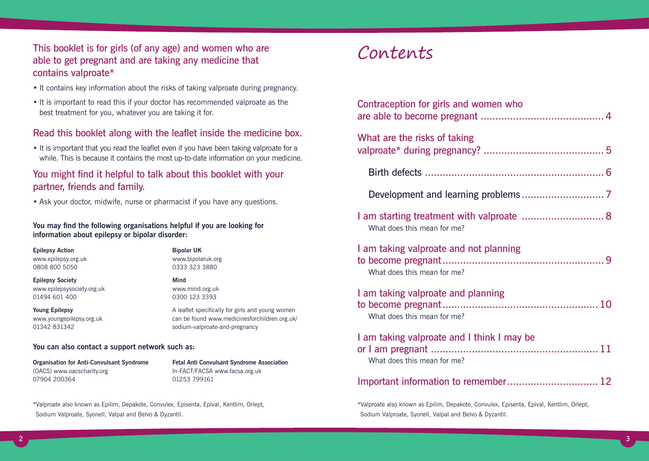This booklet is for girls (of any age) and women who are able to get pregnant and are taking any medicine that contains valproate\*

- It contains key information about the risks of taking valproate during pregnancy.
- It is important to read this if your doctor has recommended valproate as the best treatment for you, whatever you are taking it for.

#### Read this booklet along with the leaflet inside the medicine box.

• It is important that you read the leaflet even if you have been taking valproate for a while. This is because it contains the most up-to-date information on your medicine.

#### You might find it helpful to talk about this booklet with your partner, friends and family.

• Ask your doctor, midwife, nurse or pharmacist if you have any questions.

**You may find the following organisations helpful if you are looking for information about epilepsy or bipolar disorder:**

**Epilepsy Action** www.epilepsy.org.uk 0808 800 5050

**Epilepsy Society** www.epilepsysociety.org.uk 01494 601 400

**Young Epilepsy** www.youngepilepsy.org.uk 01342 831342

**Bipolar UK** www.bipolaruk.org 0333 323 3880

#### **Mind** www.mind.org.uk 0300 123 3393

A leaflet specifically for girls and young women can be found www.medicinesforchildren.org.uk/ sodium-valproate-and-pregnancy

#### **You can also contact a support network such as:**

**Organisation for Anti-Convulsant Syndrome** (OACS) www.oacscharity.org 07904 200364

**Fetal Anti Convulsant Syndrome Association** In-FACT/FACSA www.facsa.org.uk 01253 799161

\*Valproate also known as Epilim, Depakote, Convulex, Episenta, Epival, Kentlim, Orlept, Sodium Valproate, Syonell, Valpal and Belvo & Dyzantil.

### Contents

| Contraception for girls and women who                                     |
|---------------------------------------------------------------------------|
| What are the risks of taking                                              |
|                                                                           |
|                                                                           |
| 1 am starting treatment with valproate  8<br>What does this mean for me?  |
| I am taking valproate and not planning<br>What does this mean for me?     |
| I am taking valproate and planning<br>What does this mean for me?         |
| I am taking valproate and I think I may be<br>What does this mean for me? |
|                                                                           |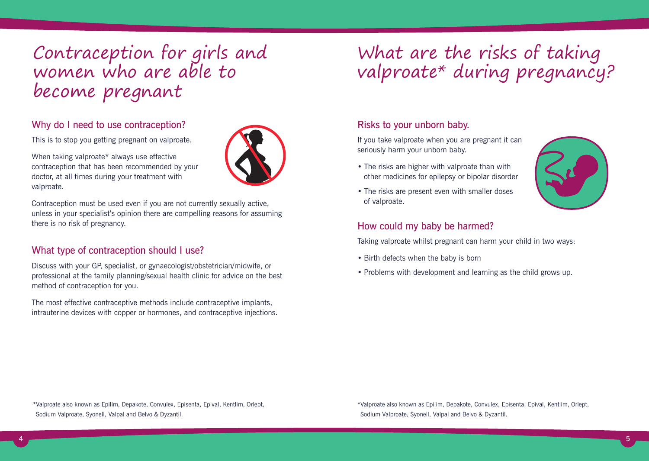Contraception for girls and women who are able to become pregnant

#### Why do I need to use contraception?

This is to stop you getting pregnant on valproate.

When taking valproate\* always use effective contraception that has been recommended by your doctor, at all times during your treatment with valproate.

Contraception must be used even if you are not currently sexually active, unless in your specialist's opinion there are compelling reasons for assuming there is no risk of pregnancy.

#### What type of contraception should I use?

Discuss with your GP, specialist, or gynaecologist/obstetrician/midwife, or professional at the family planning/sexual health clinic for advice on the best method of contraception for you.

The most effective contraceptive methods include contraceptive implants, intrauterine devices with copper or hormones, and contraceptive injections.

# What are the risks of taking valproate\* during pregnancy?

#### Risks to your unborn baby.

If you take valproate when you are pregnant it can seriously harm your unborn baby.

- The risks are higher with valproate than with other medicines for epilepsy or bipolar disorder
- The risks are present even with smaller doses of valproate.



#### How could my baby be harmed?

Taking valproate whilst pregnant can harm your child in two ways:

- Birth defects when the baby is born
- Problems with development and learning as the child grows up.

\*Valproate also known as Epilim, Depakote, Convulex, Episenta, Epival, Kentlim, Orlept, Sodium Valproate, Syonell, Valpal and Belvo & Dyzantil.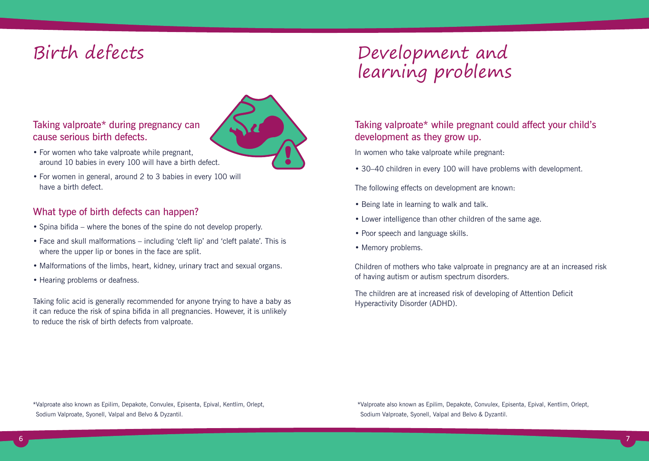

- Taking valproate\* during pregnancy can cause serious birth defects.
- For women who take valproate while pregnant, around 10 babies in every 100 will have a birth defect.
- For women in general, around 2 to 3 babies in every 100 will have a birth defect.

#### What type of birth defects can happen?

- Spina bifida where the bones of the spine do not develop properly.
- Face and skull malformations including 'cleft lip' and 'cleft palate'. This is where the upper lip or bones in the face are split.
- Malformations of the limbs, heart, kidney, urinary tract and sexual organs.
- Hearing problems or deafness.

Taking folic acid is generally recommended for anyone trying to have a baby as it can reduce the risk of spina bifida in all pregnancies. However, it is unlikely to reduce the risk of birth defects from valproate.

# Birth defects Development and learning problems

#### Taking valproate\* while pregnant could affect your child's development as they grow up.

In women who take valproate while pregnant:

• 30–40 children in every 100 will have problems with development.

The following effects on development are known:

- Being late in learning to walk and talk.
- Lower intelligence than other children of the same age.
- Poor speech and language skills.
- Memory problems.

Children of mothers who take valproate in pregnancy are at an increased risk of having autism or autism spectrum disorders.

The children are at increased risk of developing of Attention Deficit Hyperactivity Disorder (ADHD).

\*Valproate also known as Epilim, Depakote, Convulex, Episenta, Epival, Kentlim, Orlept, Sodium Valproate, Syonell, Valpal and Belvo & Dyzantil.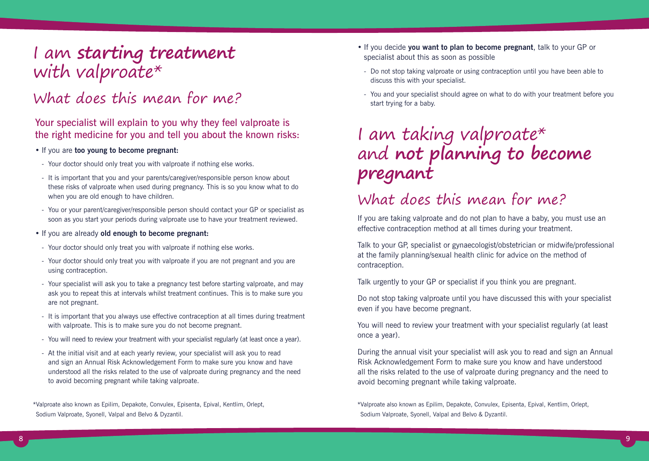### I am **starting treatment** with valproate\*

### What does this mean for me?

#### Your specialist will explain to you why they feel valproate is the right medicine for you and tell you about the known risks:

#### • If you are **too young to become pregnant:**

- Your doctor should only treat you with valproate if nothing else works.
- It is important that you and your parents/caregiver/responsible person know about these risks of valproate when used during pregnancy. This is so you know what to do when you are old enough to have children.
- You or your parent/caregiver/responsible person should contact your GP or specialist as soon as you start your periods during valproate use to have your treatment reviewed.
- If you are already **old enough to become pregnant:**
- Your doctor should only treat you with valproate if nothing else works.
- Your doctor should only treat you with valproate if you are not pregnant and you are using contraception.
- Your specialist will ask you to take a pregnancy test before starting valproate, and may ask you to repeat this at intervals whilst treatment continues. This is to make sure you are not pregnant.
- It is important that you always use effective contraception at all times during treatment with valproate. This is to make sure you do not become pregnant.
- You will need to review your treatment with your specialist regularly (at least once a year).
- At the initial visit and at each yearly review, your specialist will ask you to read and sign an Annual Risk Acknowledgement Form to make sure you know and have understood all the risks related to the use of valproate during pregnancy and the need to avoid becoming pregnant while taking valproate.

\*Valproate also known as Epilim, Depakote, Convulex, Episenta, Epival, Kentlim, Orlept, Sodium Valproate, Syonell, Valpal and Belvo & Dyzantil.

- If you decide **you want to plan to become pregnant**, talk to your GP or specialist about this as soon as possible
- Do not stop taking valproate or using contraception until you have been able to discuss this with your specialist.
- You and your specialist should agree on what to do with your treatment before you start trying for a baby.

# I am taking valproate\* and **not planning to become pregnant**

### What does this mean for me?

If you are taking valproate and do not plan to have a baby, you must use an effective contraception method at all times during your treatment.

Talk to your GP, specialist or gynaecologist/obstetrician or midwife/professional at the family planning/sexual health clinic for advice on the method of contraception.

Talk urgently to your GP or specialist if you think you are pregnant.

Do not stop taking valproate until you have discussed this with your specialist even if you have become pregnant.

You will need to review your treatment with your specialist regularly (at least once a year).

During the annual visit your specialist will ask you to read and sign an Annual Risk Acknowledgement Form to make sure you know and have understood all the risks related to the use of valproate during pregnancy and the need to avoid becoming pregnant while taking valproate.

<sup>\*</sup>Valproate also known as Epilim, Depakote, Convulex, Episenta, Epival, Kentlim, Orlept, Sodium Valproate, Syonell, Valpal and Belvo & Dyzantil.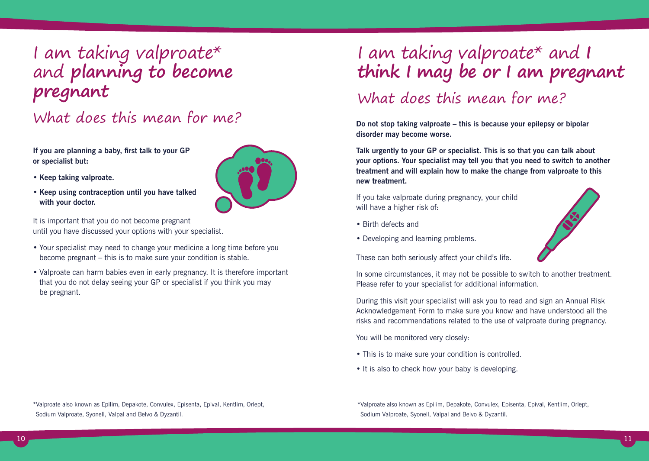## I am taking valproate\* and **planning to become pregnant**

### What does this mean for me?

**If you are planning a baby, first talk to your GP or specialist but:**

- **Keep taking valproate.**
- **Keep using contraception until you have talked with your doctor.**

It is important that you do not become pregnant until you have discussed your options with your specialist.

- Your specialist may need to change your medicine a long time before you become pregnant – this is to make sure your condition is stable.
- Valproate can harm babies even in early pregnancy. It is therefore important that you do not delay seeing your GP or specialist if you think you may be pregnant.

# I am taking valproate\* and **I think I may be or I am pregnant**

### What does this mean for me?

**Do not stop taking valproate – this is because your epilepsy or bipolar disorder may become worse.** 

**Talk urgently to your GP or specialist. This is so that you can talk about your options. Your specialist may tell you that you need to switch to another treatment and will explain how to make the change from valproate to this new treatment.**

If you take valproate during pregnancy, your child will have a higher risk of:

- Birth defects and
- Developing and learning problems.



These can both seriously affect your child's life.

In some circumstances, it may not be possible to switch to another treatment. Please refer to your specialist for additional information.

During this visit your specialist will ask you to read and sign an Annual Risk Acknowledgement Form to make sure you know and have understood all the risks and recommendations related to the use of valproate during pregnancy.

You will be monitored very closely:

- This is to make sure your condition is controlled.
- It is also to check how your baby is developing.

\*Valproate also known as Epilim, Depakote, Convulex, Episenta, Epival, Kentlim, Orlept, Sodium Valproate, Syonell, Valpal and Belvo & Dyzantil.